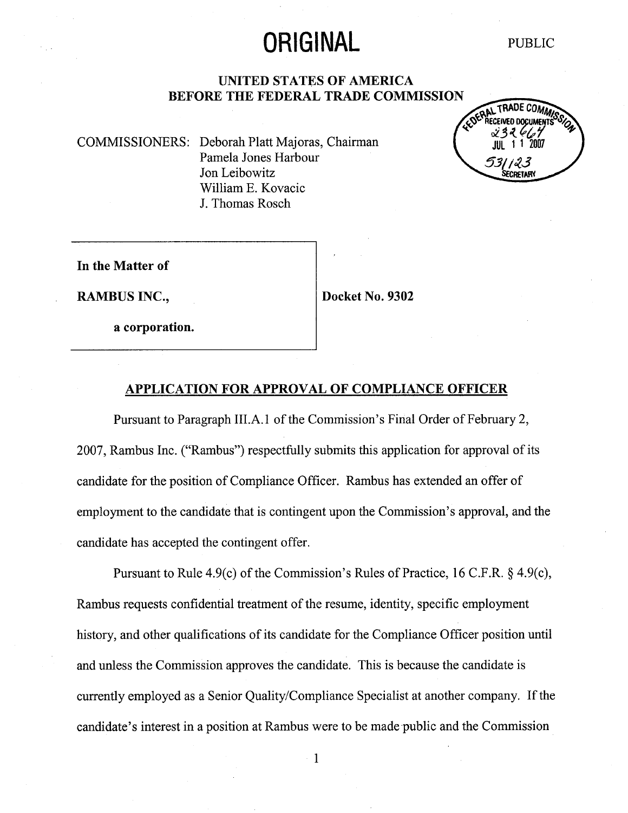# ORIGINAL PUBLIC

#### **UNITED STATES OF AMERICA** BEFORE THE FEDERAL TRADE COMMISSION

COMMISSIONERS: Deborah Platt Majoras, Chairman Pamela Jones Harbour Jon Leibowitz Wiliam E. Kovacic J. Thomas Rosch

COERAL TRADE COMMIS 531 123 ECRETARY

In the Matter of

RAMBUS INC., Docket No. 9302

a corporation.

#### APPLICATION FOR APPROVAL OF COMPLIANCE OFFICER

Pursuant to Paragraph III.A.1 of the Commission's Final Order of February 2, 2007, Rambus Inc. ("Rambus") respectfully submits this application for approval of its candidate for the position of Compliance Officer. Rambus has extended an offer of employment to the candidate that is contingent upon the Commission's approval, and the candidate has accepted the contingent offer.

Pursuant to Rule 4.9(c) of the Commission's Rules of Practice, 16 C.F.R.  $\S$  4.9(c), Rambus requests confidential treatment of the resume, identity, specific employment history, and other qualifications of its candidate for the Compliance Officer position until and unless the Commission approves the candidate. This is because the candidate is curently employed as a Senior Quality/Compliance Specialist at another company. If the candidate's interest in a position at Rambus were to be made public and the Commission

 $\mathbf{1}$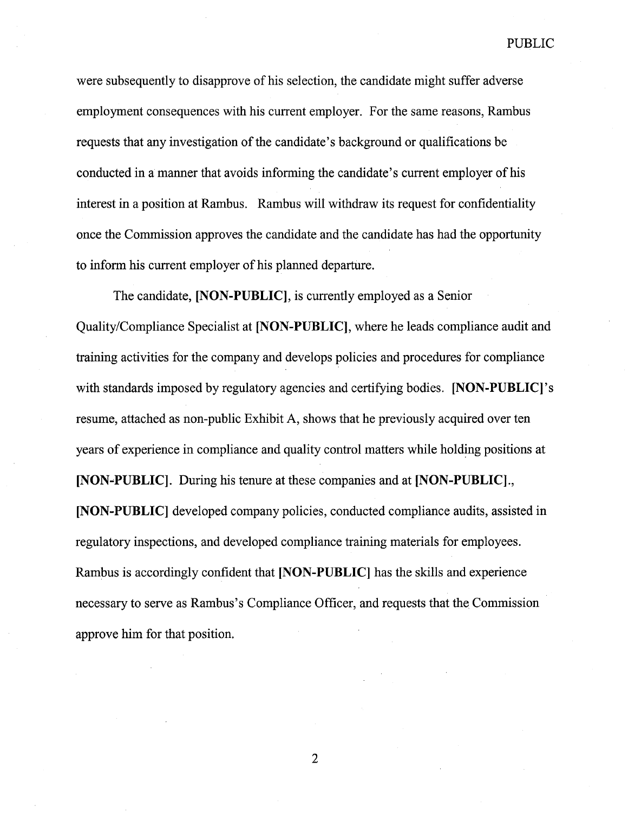PUBLIC

were subsequently to disapprove of his selection, the candidate might suffer adverse employment consequences with his current employer. For the same reasons, Rambus requests that any investigation of the candidate's background or qualifications be conducted in a manner that avoids informing the candidate's current employer of his interest in a position at Rambus. Rambus will withdraw its request for confidentiality once the Commission approves the candidate and the candidate has had the opportnity to inform his current employer of his planned departure.

The candidate, [NON-PUBLIC], is currently employed as a Senior Quality/Compliance Specialist at [NON-PUBLIC], where he leads compliance audit and training activities for the company and develops policies and procedures for compliance with standards imposed by regulatory agencies and certifying bodies. [NON-PUBLIC]' resume, attached as non-public Exhibit A, shows that he previously acquired over ten years of experience in compliance and quality control matters while holding positions at [NON-PUBLIC]. During his tenure at these companies and at [NON-PUBLIC]., (NON- PUBLIC) developed company policies, conducted compliance audits, assisted in regulatory inspections, and developed compliance training materials for employees. Rambus is accordingly confident that [NON-PUBLIC] has the skills and experience necessary to serve as Rambus's Compliance Officer, and requests that the Commission approve him for that position.

 $\overline{2}$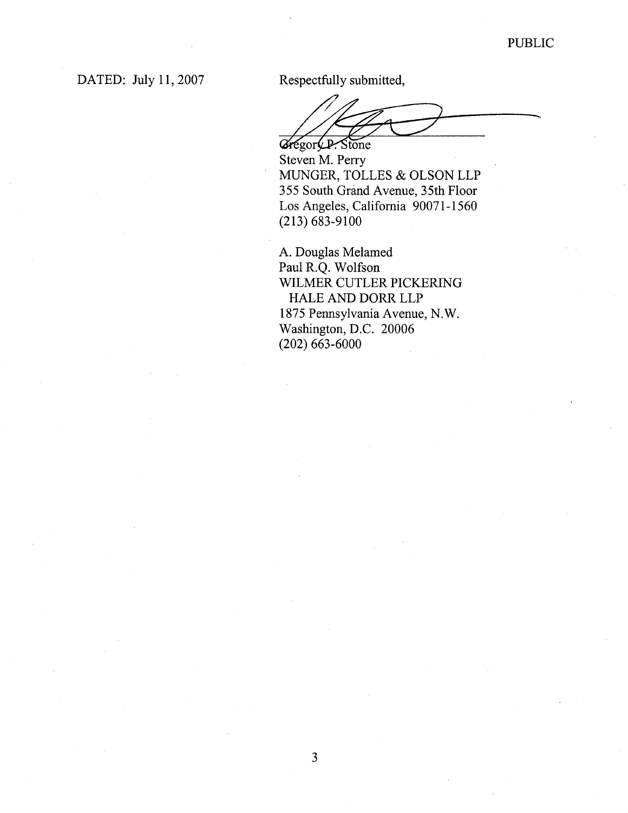DATED: July 11, 2007

Respectfully submitted,

Gregory P. Stone

Steven M. Perry MUNGER, TOLLES & OLSON LLP 355 South Grand Avenue, 35th Floor Los Angeles, California 90071-1560 (213) 683-9100

A. Douglas Melamed Paul R.Q. Wolfson WILMER CUTLER PICKERING HALE AND DORR LLP 1875 Pennsylvania Avenue, N. Washington, D.C. 20006 (202) 663-6000

 $\overline{3}$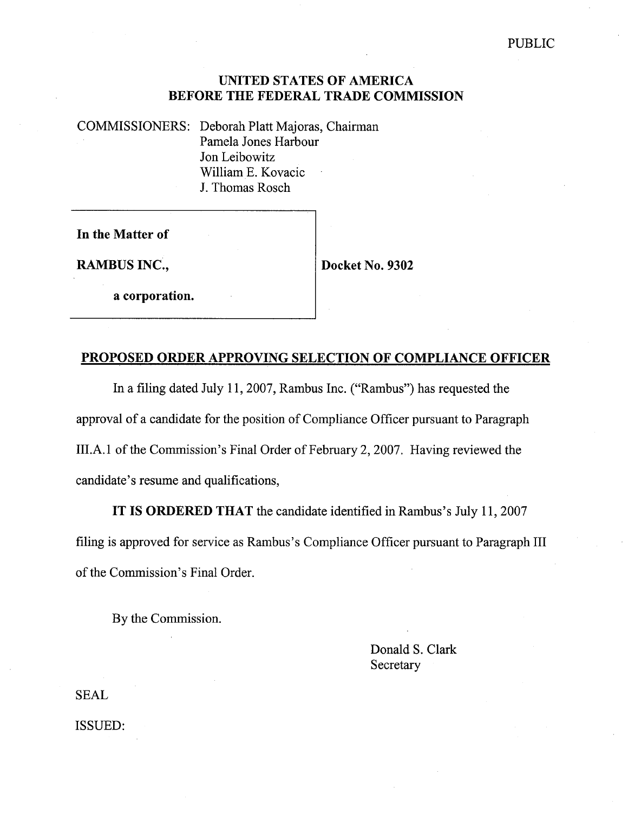## UNITED STATES OF AMERICA BEFORE THE FEDERAL TRADE COMMISSION

COMMISSIONERS: Deborah Platt Majoras, Chairman Pamela Jones Harbour Jon Leibowitz Wiliam E. Kovacic J. Thomas Rosch

In the Matter of

RAMBUS INC.,  $\vert$  Docket No. 9302

a corporation.

# PROPOSED ORDER APPROVING SELECTION OF COMPLIANCE OFFICER

In a filing dated July 11, 2007, Rambus Inc. ("Rambus") has requested the approval of a candidate for the position of Compliance Officer pursuant to Paragraph III.A.1 of the Commission's Final Order of February 2, 2007. Having reviewed the candidate's resume and qualifications,

IT IS ORDERED THAT the candidate identified in Rambus's July 11, 2007 filing is approved for service as Rambus's Compliance Officer pursuant to Paragraph III of the Commission's Final Order.

By the Commission.

Donald S. Clark **Secretary** 

SEAL

ISSUED: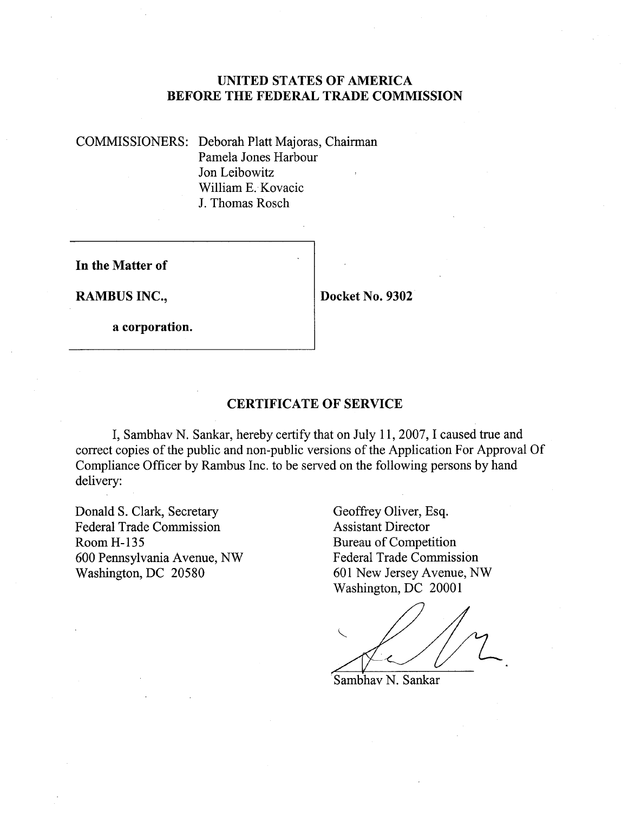## UNITED STATES OF AMERICA BEFORE THE FEDERAL TRADE COMMISSION

COMMISSIONERS: Deborah Platt Majoras, Chairman Pamela Jones Harbour Jon Leibowitz Wiliam E. Kovacic J. Thomas Rosch

In the Matter of

RAMBUS INC., Docket No. 9302

a corporation.

#### CERTIFICATE OF SERVICE

I, Sambhav N. Sankar, hereby certify that on July 11, 2007, I caused true and correct copies of the public and non-public versions of the Application For Approval Of Compliance Officer by Rambus Inc. to be served on the following persons by hand delivery:

Donald S. Clark, Secretary<br>
Federal Trade Commission<br>
Assistant Director Federal Trade Commission Room H-135 Bureau of Competition 600 Pennsylvania Avenue, NW Federal Trade Commission

601 New Jersey Avenue, NW Washington, DC 20001

Sambhav N. Sankar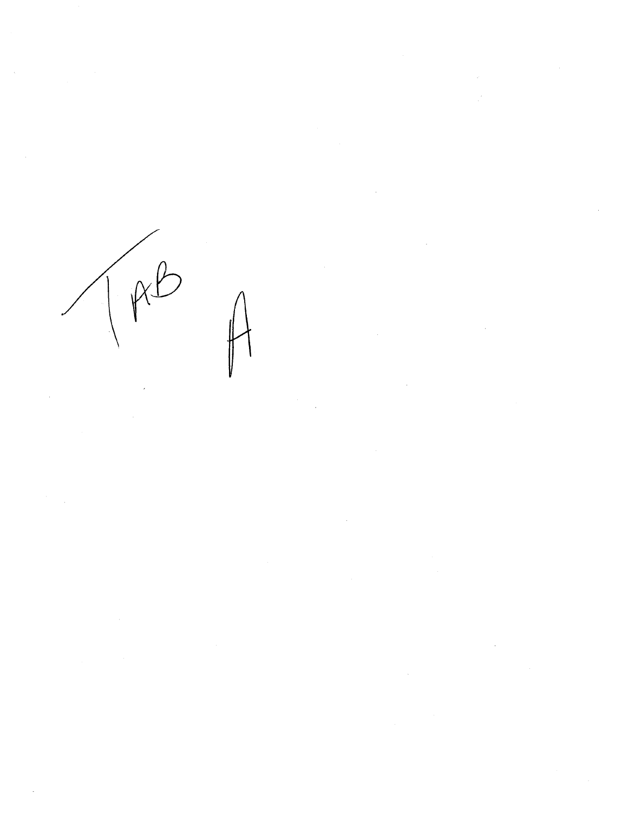

 $\label{eq:2} \frac{1}{2} \int_{0}^{2\pi} \frac{1}{\sqrt{2}} \, \frac{d\mu}{\sqrt{2}} \, \frac{d\mu}{\sqrt{2}} \, \frac{d\mu}{\sqrt{2}} \, \frac{d\mu}{\sqrt{2}} \, \frac{d\mu}{\sqrt{2}} \, \frac{d\mu}{\sqrt{2}} \, \frac{d\mu}{\sqrt{2}} \, \frac{d\mu}{\sqrt{2}} \, \frac{d\mu}{\sqrt{2}} \, \frac{d\mu}{\sqrt{2}} \, \frac{d\mu}{\sqrt{2}} \, \frac{d\mu}{\sqrt{2}} \, \frac{d\mu}{\sqrt{2}} \, \frac$  $\label{eq:2.1} \frac{1}{2} \int_{\mathbb{R}^3} \left| \frac{d\mu}{d\mu} \right|^2 \, d\mu = \frac{1}{2} \int_{\mathbb{R}^3} \left| \frac{d\mu}{d\mu} \right|^2 \, d\mu = \frac{1}{2} \int_{\mathbb{R}^3} \left| \frac{d\mu}{d\mu} \right|^2 \, d\mu.$ 

 $\label{eq:2.1} \frac{1}{\sqrt{2}}\int_{\mathbb{R}^3}\frac{1}{\sqrt{2}}\left(\frac{1}{\sqrt{2}}\right)^2\frac{1}{\sqrt{2}}\left(\frac{1}{\sqrt{2}}\right)^2\frac{1}{\sqrt{2}}\left(\frac{1}{\sqrt{2}}\right)^2\frac{1}{\sqrt{2}}\left(\frac{1}{\sqrt{2}}\right)^2.$  $\label{eq:2.1} \mathcal{L}(\mathcal{L}^{\text{max}}_{\mathcal{L}}(\mathcal{L}^{\text{max}}_{\mathcal{L}}))\leq \mathcal{L}(\mathcal{L}^{\text{max}}_{\mathcal{L}}(\mathcal{L}^{\text{max}}_{\mathcal{L}}))$ 

 $\label{eq:2.1} \mathcal{L}(\mathcal{L}^{\text{max}}_{\mathcal{L}}(\mathcal{L}^{\text{max}}_{\mathcal{L}}),\mathcal{L}^{\text{max}}_{\mathcal{L}^{\text{max}}_{\mathcal{L}}(\mathcal{L}^{\text{max}}_{\mathcal{L}^{\text{max}}_{\mathcal{L}^{\text{max}}_{\mathcal{L}^{\text{max}}_{\mathcal{L}^{\text{max}}_{\mathcal{L}^{\text{max}}_{\mathcal{L}^{\text{max}}_{\mathcal{L}^{\text{max}}_{\mathcal{L}^{\text{max}}_{\mathcal{L}^{\text{max}}_{\mathcal{$  $\label{eq:2.1} \frac{1}{\sqrt{2\pi}}\sum_{i=1}^n\frac{1}{\sqrt{2\pi}}\sum_{i=1}^n\frac{1}{\sqrt{2\pi}}\sum_{i=1}^n\frac{1}{\sqrt{2\pi}}\sum_{i=1}^n\frac{1}{\sqrt{2\pi}}\sum_{i=1}^n\frac{1}{\sqrt{2\pi}}\sum_{i=1}^n\frac{1}{\sqrt{2\pi}}\sum_{i=1}^n\frac{1}{\sqrt{2\pi}}\sum_{i=1}^n\frac{1}{\sqrt{2\pi}}\sum_{i=1}^n\frac{1}{\sqrt{2\pi}}\sum_{i=1}^n\$ 

 $\label{eq:2.1} \begin{split} \mathcal{L}_{\text{max}}(\mathbf{r}) = \mathcal{L}_{\text{max}}(\mathbf{r}) \mathcal{L}_{\text{max}}(\mathbf{r}) \mathcal{L}_{\text{max}}(\mathbf{r}) \mathcal{L}_{\text{max}}(\mathbf{r}) \mathcal{L}_{\text{max}}(\mathbf{r}) \mathcal{L}_{\text{max}}(\mathbf{r}) \mathcal{L}_{\text{max}}(\mathbf{r}) \mathcal{L}_{\text{max}}(\mathbf{r}) \mathcal{L}_{\text{max}}(\mathbf{r}) \mathcal{L}_{\text{max}}(\mathbf{r}) \mathcal{L}_{\text{max}}(\mathbf{r}) \$ 

 $\label{eq:2.1} \frac{1}{\sqrt{2}}\int_{\mathbb{R}^3}\frac{1}{\sqrt{2}}\left(\frac{1}{\sqrt{2}}\right)^2\frac{1}{\sqrt{2}}\left(\frac{1}{\sqrt{2}}\right)^2\frac{1}{\sqrt{2}}\left(\frac{1}{\sqrt{2}}\right)^2\frac{1}{\sqrt{2}}\left(\frac{1}{\sqrt{2}}\right)^2.$